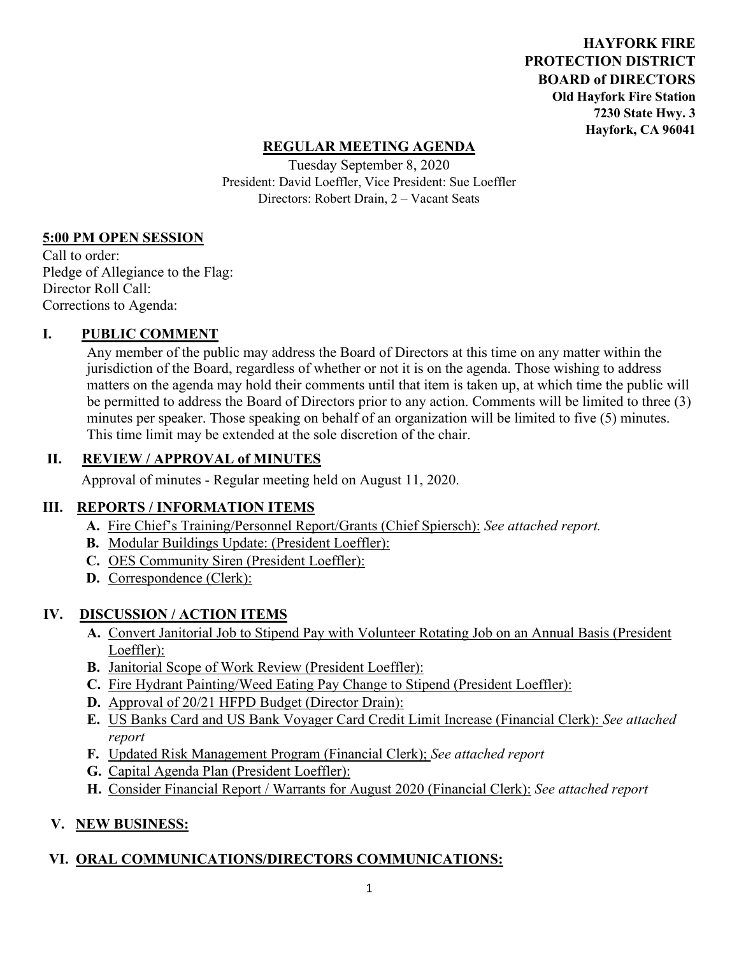**HAYFORK FIRE PROTECTION DISTRICT BOARD of DIRECTORS Old Hayfork Fire Station 7230 State Hwy. 3 Hayfork, CA 96041** 

## **REGULAR MEETING AGENDA**

Tuesday September 8, 2020 President: David Loeffler, Vice President: Sue Loeffler Directors: Robert Drain, 2 – Vacant Seats

#### **5:00 PM OPEN SESSION**

Call to order: Pledge of Allegiance to the Flag: Director Roll Call: Corrections to Agenda:

## **I. PUBLIC COMMENT**

Any member of the public may address the Board of Directors at this time on any matter within the jurisdiction of the Board, regardless of whether or not it is on the agenda. Those wishing to address matters on the agenda may hold their comments until that item is taken up, at which time the public will be permitted to address the Board of Directors prior to any action. Comments will be limited to three (3) minutes per speaker. Those speaking on behalf of an organization will be limited to five (5) minutes. This time limit may be extended at the sole discretion of the chair.

## **II. REVIEW / APPROVAL of MINUTES**

Approval of minutes - Regular meeting held on August 11, 2020.

#### **III. REPORTS / INFORMATION ITEMS**

- **A.** Fire Chief's Training/Personnel Report/Grants (Chief Spiersch): *See attached report.*
- **B.** Modular Buildings Update: (President Loeffler):
- **C.** OES Community Siren (President Loeffler):
- **D.** Correspondence (Clerk):

## **IV. DISCUSSION / ACTION ITEMS**

- **A.** Convert Janitorial Job to Stipend Pay with Volunteer Rotating Job on an Annual Basis (President Loeffler):
- **B.** Janitorial Scope of Work Review (President Loeffler):
- **C.** Fire Hydrant Painting/Weed Eating Pay Change to Stipend (President Loeffler):
- **D.** Approval of 20/21 HFPD Budget (Director Drain):
- **E.** US Banks Card and US Bank Voyager Card Credit Limit Increase (Financial Clerk): *See attached report*
- **F.** Updated Risk Management Program (Financial Clerk); *See attached report*
- **G.** Capital Agenda Plan (President Loeffler):
- **H.** Consider Financial Report / Warrants for August 2020 (Financial Clerk): *See attached report*

## **V. NEW BUSINESS:**

## **VI. ORAL COMMUNICATIONS/DIRECTORS COMMUNICATIONS:**